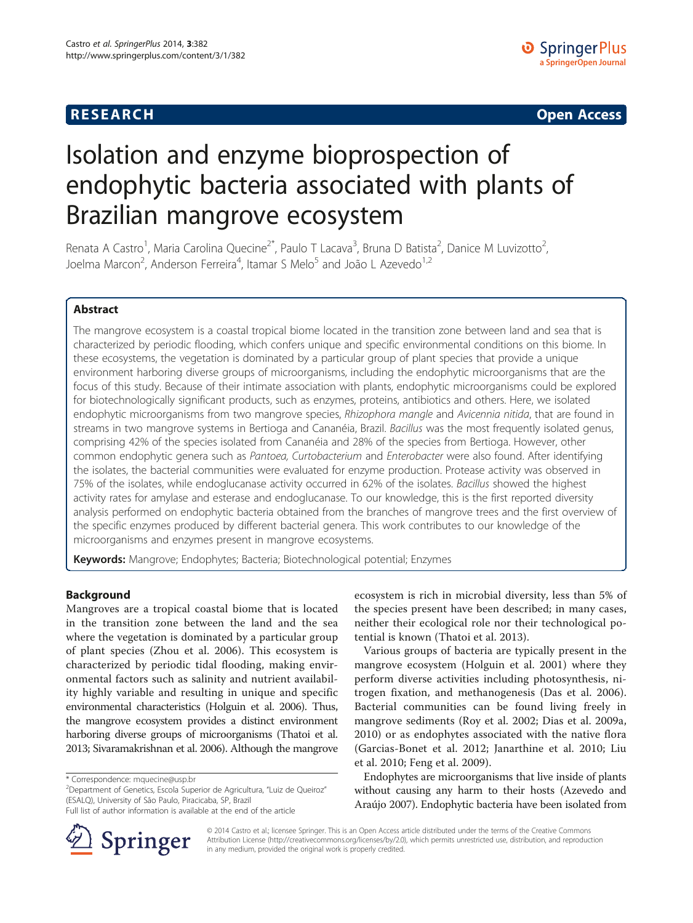**RESEARCH RESEARCH** *CHECKER CHECKER CHECKER CHECKER CHECKER CHECKER CHECKER CHECKER CHECKER CHECKER CHECKER* 

# Isolation and enzyme bioprospection of endophytic bacteria associated with plants of Brazilian mangrove ecosystem

Renata A Castro<sup>1</sup>, Maria Carolina Quecine<sup>2\*</sup>, Paulo T Lacava<sup>3</sup>, Bruna D Batista<sup>2</sup>, Danice M Luvizotto<sup>2</sup> , Joelma Marcon<sup>2</sup>, Anderson Ferreira<sup>4</sup>, Itamar S Melo<sup>5</sup> and João L Azevedo<sup>1,2</sup>

# Abstract

The mangrove ecosystem is a coastal tropical biome located in the transition zone between land and sea that is characterized by periodic flooding, which confers unique and specific environmental conditions on this biome. In these ecosystems, the vegetation is dominated by a particular group of plant species that provide a unique environment harboring diverse groups of microorganisms, including the endophytic microorganisms that are the focus of this study. Because of their intimate association with plants, endophytic microorganisms could be explored for biotechnologically significant products, such as enzymes, proteins, antibiotics and others. Here, we isolated endophytic microorganisms from two mangrove species, Rhizophora mangle and Avicennia nitida, that are found in streams in two mangrove systems in Bertioga and Cananéia, Brazil. Bacillus was the most frequently isolated genus, comprising 42% of the species isolated from Cananéia and 28% of the species from Bertioga. However, other common endophytic genera such as Pantoea, Curtobacterium and Enterobacter were also found. After identifying the isolates, the bacterial communities were evaluated for enzyme production. Protease activity was observed in 75% of the isolates, while endoglucanase activity occurred in 62% of the isolates. Bacillus showed the highest activity rates for amylase and esterase and endoglucanase. To our knowledge, this is the first reported diversity analysis performed on endophytic bacteria obtained from the branches of mangrove trees and the first overview of the specific enzymes produced by different bacterial genera. This work contributes to our knowledge of the microorganisms and enzymes present in mangrove ecosystems.

Keywords: Mangrove; Endophytes; Bacteria; Biotechnological potential; Enzymes

# Background

Mangroves are a tropical coastal biome that is located in the transition zone between the land and the sea where the vegetation is dominated by a particular group of plant species (Zhou et al. [2006](#page-8-0)). This ecosystem is characterized by periodic tidal flooding, making environmental factors such as salinity and nutrient availability highly variable and resulting in unique and specific environmental characteristics (Holguin et al. [2006\)](#page-7-0). Thus, the mangrove ecosystem provides a distinct environment harboring diverse groups of microorganisms (Thatoi et al. [2013](#page-8-0); Sivaramakrishnan et al. [2006\)](#page-8-0). Although the mangrove

Full list of author information is available at the end of the article



ecosystem is rich in microbial diversity, less than 5% of the species present have been described; in many cases, neither their ecological role nor their technological potential is known (Thatoi et al. [2013\)](#page-8-0).

Various groups of bacteria are typically present in the mangrove ecosystem (Holguin et al. [2001](#page-7-0)) where they perform diverse activities including photosynthesis, nitrogen fixation, and methanogenesis (Das et al. [2006](#page-7-0)). Bacterial communities can be found living freely in mangrove sediments (Roy et al. [2002;](#page-8-0) Dias et al. [2009a](#page-7-0), [2010\)](#page-7-0) or as endophytes associated with the native flora (Garcias-Bonet et al. [2012](#page-7-0); Janarthine et al. [2010](#page-7-0); Liu et al. [2010](#page-7-0); Feng et al. [2009](#page-7-0)).

Endophytes are microorganisms that live inside of plants without causing any harm to their hosts (Azevedo and Araújo [2007\)](#page-7-0). Endophytic bacteria have been isolated from

© 2014 Castro et al.; licensee Springer. This is an Open Access article distributed under the terms of the Creative Commons Attribution License [\(http://creativecommons.org/licenses/by/2.0\)](http://creativecommons.org/licenses/by/2.0), which permits unrestricted use, distribution, and reproduction in any medium, provided the original work is properly credited.

<sup>\*</sup> Correspondence: [mquecine@usp.br](mailto:mquecine@usp.br) <sup>2</sup>

<sup>&</sup>lt;sup>2</sup>Department of Genetics, Escola Superior de Agricultura, "Luiz de Queiroz" (ESALQ), University of São Paulo, Piracicaba, SP, Brazil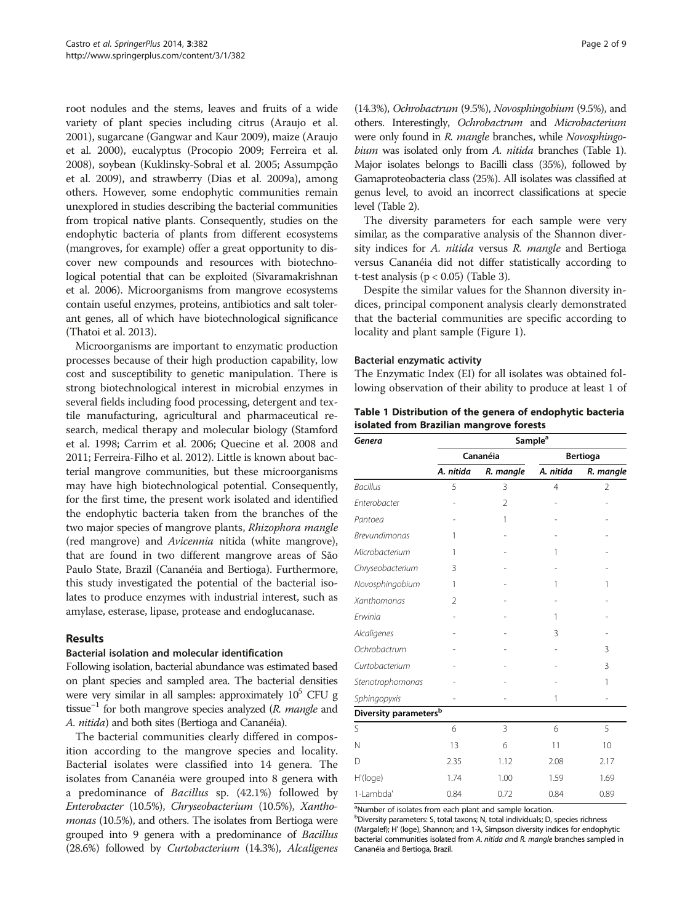root nodules and the stems, leaves and fruits of a wide variety of plant species including citrus ([Araujo et al.](#page-7-0) [2001\)](#page-7-0), sugarcane (Gangwar and Kaur [2009](#page-7-0)), maize (Araujo et al. [2000](#page-7-0)), eucalyptus (Procopio [2009; Ferreira et al.](#page-7-0) [2008\)](#page-7-0), soybean (Kuklinsky-Sobral et al. [2005](#page-7-0); Assumpção et al. [2009\)](#page-7-0), and strawberry (Dias et al. [2009a](#page-7-0)), among others. However, some endophytic communities remain unexplored in studies describing the bacterial communities from tropical native plants. Consequently, studies on the endophytic bacteria of plants from different ecosystems (mangroves, for example) offer a great opportunity to discover new compounds and resources with biotechnological potential that can be exploited (Sivaramakrishnan et al. [2006](#page-8-0)). Microorganisms from mangrove ecosystems contain useful enzymes, proteins, antibiotics and salt tolerant genes, all of which have biotechnological significance (Thatoi et al. [2013](#page-8-0)).

Microorganisms are important to enzymatic production processes because of their high production capability, low cost and susceptibility to genetic manipulation. There is strong biotechnological interest in microbial enzymes in several fields including food processing, detergent and textile manufacturing, agricultural and pharmaceutical research, medical therapy and molecular biology (Stamford et al. [1998;](#page-8-0) Carrim et al. [2006;](#page-7-0) Quecine et al. [2008](#page-7-0) and [2011;](#page-7-0) Ferreira-Filho et al. [2012\)](#page-7-0). Little is known about bacterial mangrove communities, but these microorganisms may have high biotechnological potential. Consequently, for the first time, the present work isolated and identified the endophytic bacteria taken from the branches of the two major species of mangrove plants, Rhizophora mangle (red mangrove) and Avicennia nitida (white mangrove), that are found in two different mangrove areas of São Paulo State, Brazil (Cananéia and Bertioga). Furthermore, this study investigated the potential of the bacterial isolates to produce enzymes with industrial interest, such as amylase, esterase, lipase, protease and endoglucanase.

# Results

# Bacterial isolation and molecular identification

Following isolation, bacterial abundance was estimated based on plant species and sampled area. The bacterial densities were very similar in all samples: approximately  $10^5$  CFU g tissue<sup>-1</sup> for both mangrove species analyzed (R. mangle and A. nitida) and both sites (Bertioga and Cananéia).

The bacterial communities clearly differed in composition according to the mangrove species and locality. Bacterial isolates were classified into 14 genera. The isolates from Cananéia were grouped into 8 genera with a predominance of Bacillus sp. (42.1%) followed by Enterobacter (10.5%), Chryseobacterium (10.5%), Xanthomonas (10.5%), and others. The isolates from Bertioga were grouped into 9 genera with a predominance of Bacillus (28.6%) followed by Curtobacterium (14.3%), Alcaligenes

(14.3%), Ochrobactrum (9.5%), Novosphingobium (9.5%), and others. Interestingly, Ochrobactrum and Microbacterium were only found in R. mangle branches, while Novosphingobium was isolated only from A. nitida branches (Table 1). Major isolates belongs to Bacilli class (35%), followed by Gamaproteobacteria class (25%). All isolates was classified at genus level, to avoid an incorrect classifications at specie level (Table [2\)](#page-2-0).

The diversity parameters for each sample were very similar, as the comparative analysis of the Shannon diversity indices for A. nitida versus R. mangle and Bertioga versus Cananéia did not differ statistically according to t-test analysis ( $p < 0.05$ ) (Table [3](#page-3-0)).

Despite the similar values for the Shannon diversity indices, principal component analysis clearly demonstrated that the bacterial communities are specific according to locality and plant sample (Figure [1\)](#page-3-0).

# Bacterial enzymatic activity

The Enzymatic Index (EI) for all isolates was obtained following observation of their ability to produce at least 1 of

| Table 1 Distribution of the genera of endophytic bacteria |  |
|-----------------------------------------------------------|--|
| isolated from Brazilian mangrove forests                  |  |

| Genera                            | Sample <sup>a</sup> |           |                 |           |  |  |  |
|-----------------------------------|---------------------|-----------|-----------------|-----------|--|--|--|
|                                   |                     | Cananéia  | <b>Bertioga</b> |           |  |  |  |
|                                   | A. nitida           | R. mangle | A. nitida       | R. mangle |  |  |  |
| <b>Bacillus</b>                   | 5                   | 3         | 4               | 2         |  |  |  |
| Enterobacter                      |                     | 2         |                 |           |  |  |  |
| Pantoea                           |                     | 1         |                 |           |  |  |  |
| <b>Brevundimonas</b>              | 1                   |           |                 |           |  |  |  |
| Microbacterium                    | 1                   |           | 1               |           |  |  |  |
| Chryseobacterium                  | 3                   |           |                 |           |  |  |  |
| Novosphingobium                   | 1                   |           | 1               | 1         |  |  |  |
| Xanthomonas                       | $\mathfrak{D}$      |           |                 |           |  |  |  |
| Erwinia                           |                     |           | 1               |           |  |  |  |
| Alcaligenes                       |                     |           | 3               |           |  |  |  |
| Ochrobactrum                      |                     |           |                 | 3         |  |  |  |
| Curtobacterium                    |                     |           |                 | 3         |  |  |  |
| Stenotrophomonas                  |                     |           |                 | 1         |  |  |  |
| Sphingopyxis                      |                     |           | 1               |           |  |  |  |
| Diversity parameters <sup>b</sup> |                     |           |                 |           |  |  |  |
| Ś                                 | 6                   | 3         | 6               | 5         |  |  |  |
| N                                 | 13                  | 6         | 11              | 10        |  |  |  |
| D                                 | 2.35                | 1.12      | 2.08            | 2.17      |  |  |  |
| H'(loge)                          | 1.74                | 1.00      | 1.59            | 1.69      |  |  |  |
| 1-Lambda'                         | 0.84                | 0.72      | 0.84            | 0.89      |  |  |  |

<sup>a</sup>Number of isolates from each plant and sample location.

<sup>b</sup>Diversity parameters: S, total taxons; N, total individuals; D, species richness (Margalef); H' (loge), Shannon; and 1-λ, Simpson diversity indices for endophytic bacterial communities isolated from A. nitida and R. mangle branches sampled in Cananéia and Bertioga, Brazil.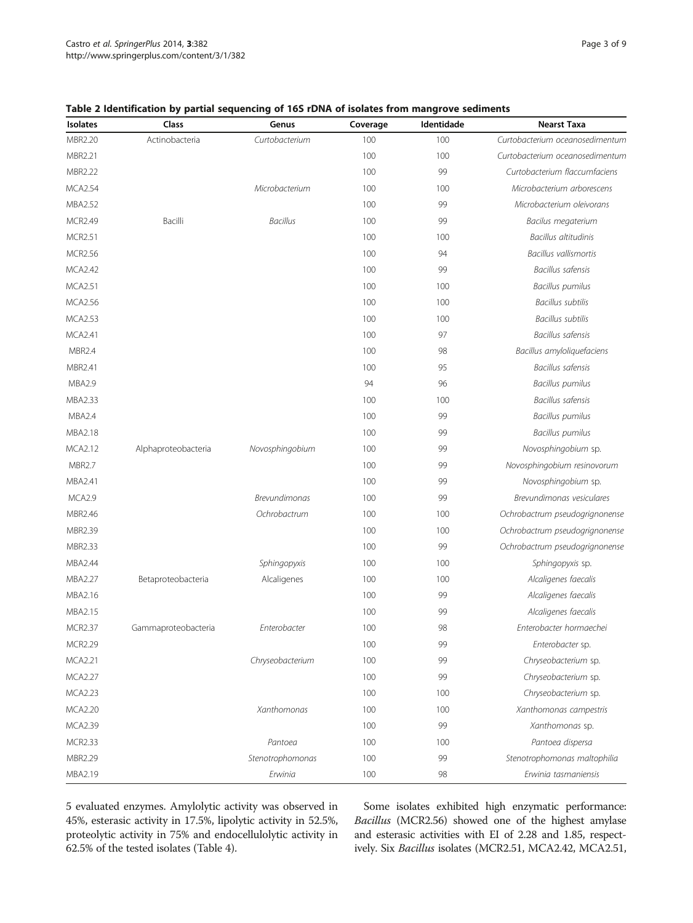| Page 3 of 9 |  |  |
|-------------|--|--|
|             |  |  |

<span id="page-2-0"></span>

|  |  |  |  | Table 2 Identification by partial sequencing of 16S rDNA of isolates from mangrove sediments |
|--|--|--|--|----------------------------------------------------------------------------------------------|
|--|--|--|--|----------------------------------------------------------------------------------------------|

| <b>Isolates</b> | Class               | Genus                | Coverage | Identidade | <b>Nearst Taxa</b>              |
|-----------------|---------------------|----------------------|----------|------------|---------------------------------|
| MBR2.20         | Actinobacteria      | Curtobacterium       | 100      | 100        | Curtobacterium oceanosedimentum |
| MBR2.21         |                     |                      | 100      | 100        | Curtobacterium oceanosedimentum |
| MBR2.22         |                     |                      | 100      | 99         | Curtobacterium flaccumfaciens   |
| <b>MCA2.54</b>  |                     | Microbacterium       | 100      | 100        | Microbacterium arborescens      |
| MBA2.52         |                     |                      | 100      | 99         | Microbacterium oleivorans       |
| <b>MCR2.49</b>  | Bacilli             | <b>Bacillus</b>      | 100      | 99         | Bacilus megaterium              |
| <b>MCR2.51</b>  |                     |                      | 100      | 100        | Bacillus altitudinis            |
| <b>MCR2.56</b>  |                     |                      | 100      | 94         | <b>Bacillus vallismortis</b>    |
| <b>MCA2.42</b>  |                     |                      | 100      | 99         | Bacillus safensis               |
| <b>MCA2.51</b>  |                     |                      | 100      | 100        | <b>Bacillus pumilus</b>         |
| <b>MCA2.56</b>  |                     |                      | 100      | 100        | <b>Bacillus subtilis</b>        |
| <b>MCA2.53</b>  |                     |                      | 100      | 100        | <b>Bacillus subtilis</b>        |
| MCA2.41         |                     |                      | 100      | 97         | Bacillus safensis               |
| <b>MBR2.4</b>   |                     |                      | 100      | 98         | Bacillus amyloliquefaciens      |
| MBR2.41         |                     |                      | 100      | 95         | Bacillus safensis               |
| <b>MBA2.9</b>   |                     |                      | 94       | 96         | Bacillus pumilus                |
| MBA2.33         |                     |                      | 100      | 100        | <b>Bacillus safensis</b>        |
| MBA2.4          |                     |                      | 100      | 99         | Bacillus pumilus                |
| MBA2.18         |                     |                      | 100      | 99         | <b>Bacillus pumilus</b>         |
| <b>MCA2.12</b>  | Alphaproteobacteria | Novosphingobium      | 100      | 99         | Novosphingobium sp.             |
| <b>MBR2.7</b>   |                     |                      | 100      | 99         | Novosphingobium resinovorum     |
| MBA2.41         |                     |                      | 100      | 99         | Novosphingobium sp.             |
| MCA2.9          |                     | <b>Brevundimonas</b> | 100      | 99         | Brevundimonas vesiculares       |
| MBR2.46         |                     | Ochrobactrum         | 100      | 100        | Ochrobactrum pseudogrignonense  |
| MBR2.39         |                     |                      | 100      | 100        | Ochrobactrum pseudogrignonense  |
| MBR2.33         |                     |                      | 100      | 99         | Ochrobactrum pseudogrignonense  |
| MBA2.44         |                     | Sphingopyxis         | 100      | 100        | Sphingopyxis sp.                |
| MBA2.27         | Betaproteobacteria  | Alcaligenes          | 100      | 100        | Alcaligenes faecalis            |
| MBA2.16         |                     |                      | 100      | 99         | Alcaligenes faecalis            |
| MBA2.15         |                     |                      | 100      | 99         | Alcaligenes faecalis            |
| <b>MCR2.37</b>  | Gammaproteobacteria | Enterobacter         | 100      | 98         | Enterobacter hormaechei         |
| MCR2.29         |                     |                      | 100      | 99         | Enterobacter sp.                |
| MCA2.21         |                     | Chryseobacterium     | 100      | 99         | Chryseobacterium sp.            |
| <b>MCA2.27</b>  |                     |                      | 100      | 99         | Chryseobacterium sp.            |
| <b>MCA2.23</b>  |                     |                      | 100      | 100        | Chryseobacterium sp.            |
| <b>MCA2.20</b>  |                     | Xanthomonas          | 100      | 100        | Xanthomonas campestris          |
| MCA2.39         |                     |                      | 100      | 99         | Xanthomonas sp.                 |
| <b>MCR2.33</b>  |                     | Pantoea              | 100      | 100        | Pantoea dispersa                |
| MBR2.29         |                     | Stenotrophomonas     | 100      | 99         | Stenotrophomonas maltophilia    |
| MBA2.19         |                     | Erwinia              | 100      | 98         | Erwinia tasmaniensis            |

5 evaluated enzymes. Amylolytic activity was observed in 45%, esterasic activity in 17.5%, lipolytic activity in 52.5%, proteolytic activity in 75% and endocellulolytic activity in 62.5% of the tested isolates (Table [4\)](#page-4-0).

Some isolates exhibited high enzymatic performance: Bacillus (MCR2.56) showed one of the highest amylase and esterasic activities with EI of 2.28 and 1.85, respectively. Six Bacillus isolates (MCR2.51, MCA2.42, MCA2.51,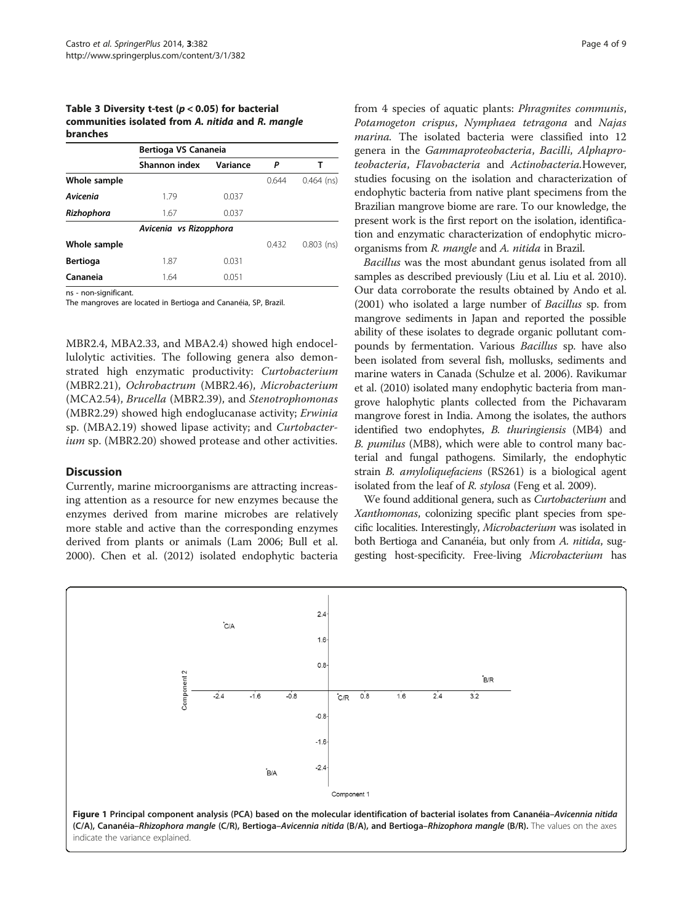# <span id="page-3-0"></span>Table 3 Diversity t-test ( $p < 0.05$ ) for bacterial communities isolated from A. nitida and R. mangle branches

|                 | Bertioga VS Cananeia   |          |       |              |  |  |
|-----------------|------------------------|----------|-------|--------------|--|--|
|                 | Shannon index          | Variance | Ρ     |              |  |  |
| Whole sample    |                        |          | 0.644 | $0.464$ (ns) |  |  |
| Avicenia        | 1.79                   | 0.037    |       |              |  |  |
| Rizhophora      | 1.67                   | 0.037    |       |              |  |  |
|                 | Avicenia vs Rizopphora |          |       |              |  |  |
| Whole sample    |                        |          | 0.432 | $0.803$ (ns) |  |  |
| <b>Bertioga</b> | 1.87                   | 0.031    |       |              |  |  |
| Cananeia        | 1.64                   | 0.051    |       |              |  |  |

ns - non-significant.

The mangroves are located in Bertioga and Cananéia, SP, Brazil.

MBR2.4, MBA2.33, and MBA2.4) showed high endocellulolytic activities. The following genera also demonstrated high enzymatic productivity: Curtobacterium (MBR2.21), Ochrobactrum (MBR2.46), Microbacterium (MCA2.54), Brucella (MBR2.39), and Stenotrophomonas (MBR2.29) showed high endoglucanase activity; Erwinia sp. (MBA2.19) showed lipase activity; and Curtobacterium sp. (MBR2.20) showed protease and other activities.

# **Discussion**

Currently, marine microorganisms are attracting increasing attention as a resource for new enzymes because the enzymes derived from marine microbes are relatively more stable and active than the corresponding enzymes derived from plants or animals (Lam [2006](#page-7-0); Bull et al. [2000](#page-7-0)). Chen et al. ([2012](#page-7-0)) isolated endophytic bacteria from 4 species of aquatic plants: Phragmites communis, Potamogeton crispus, Nymphaea tetragona and Najas marina. The isolated bacteria were classified into 12 genera in the Gammaproteobacteria, Bacilli, Alphaproteobacteria, Flavobacteria and Actinobacteria.However, studies focusing on the isolation and characterization of endophytic bacteria from native plant specimens from the Brazilian mangrove biome are rare. To our knowledge, the present work is the first report on the isolation, identification and enzymatic characterization of endophytic microorganisms from R. mangle and A. nitida in Brazil.

Bacillus was the most abundant genus isolated from all samples as described previously (Liu et al. Liu et al. [2010](#page-7-0)). Our data corroborate the results obtained by Ando et al. ([2001](#page-7-0)) who isolated a large number of Bacillus sp. from mangrove sediments in Japan and reported the possible ability of these isolates to degrade organic pollutant compounds by fermentation. Various Bacillus sp. have also been isolated from several fish, mollusks, sediments and marine waters in Canada (Schulze et al. [2006](#page-8-0)). Ravikumar et al. ([2010](#page-8-0)) isolated many endophytic bacteria from mangrove halophytic plants collected from the Pichavaram mangrove forest in India. Among the isolates, the authors identified two endophytes, B. thuringiensis (MB4) and B. pumilus (MB8), which were able to control many bacterial and fungal pathogens. Similarly, the endophytic strain B. amyloliquefaciens (RS261) is a biological agent isolated from the leaf of R. stylosa (Feng et al. [2009](#page-7-0)).

We found additional genera, such as Curtobacterium and Xanthomonas, colonizing specific plant species from specific localities. Interestingly, Microbacterium was isolated in both Bertioga and Cananéia, but only from A. nitida, suggesting host-specificity. Free-living Microbacterium has

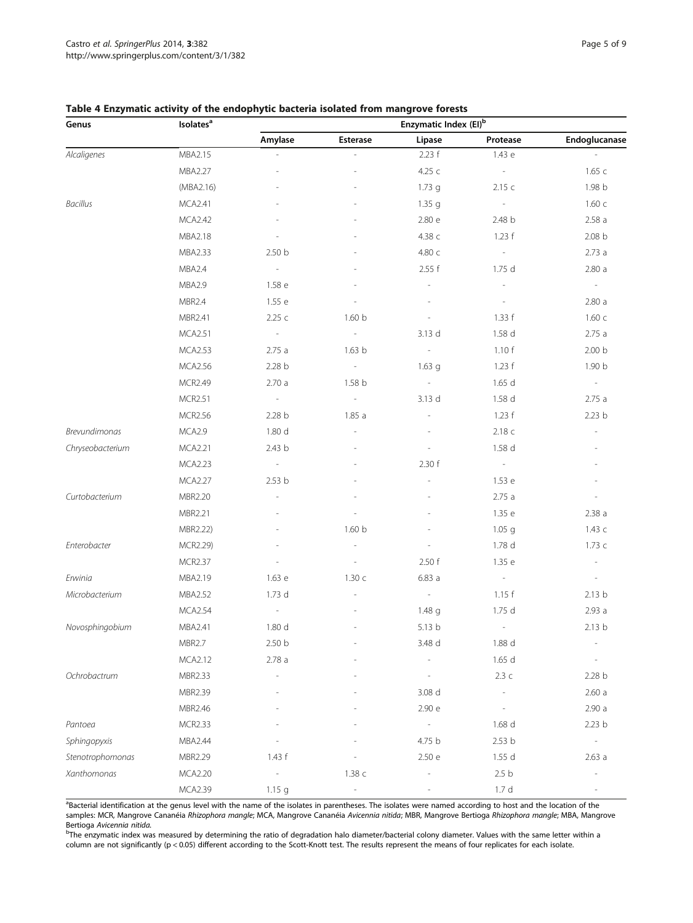| Genus            | <b>Isolates<sup>a</sup></b> | Enzymatic Index (EI) <sup>b</sup> |                             |                          |                          |                          |
|------------------|-----------------------------|-----------------------------------|-----------------------------|--------------------------|--------------------------|--------------------------|
|                  |                             | Amylase                           | Esterase                    | Lipase                   | Protease                 | Endoglucanase            |
| Alcaligenes      | MBA2.15                     |                                   | ÷,                          | 2.23 f                   | 1.43 e                   |                          |
|                  | MBA2.27                     |                                   |                             | 4.25 c                   | $\sim$ $ \sim$           | 1.65c                    |
|                  | (MBA2.16)                   |                                   |                             | 1.73 <sub>g</sub>        | 2.15c                    | 1.98 b                   |
| Bacillus         | MCA2.41                     |                                   |                             | 1.35 <sub>g</sub>        | $\sim$                   | 1.60c                    |
|                  | <b>MCA2.42</b>              |                                   |                             | 2.80 e                   | 2.48 b                   | 2.58a                    |
|                  | MBA2.18                     |                                   |                             | 4.38 c                   | 1.23 f                   | 2.08 <sub>b</sub>        |
|                  | MBA2.33                     | 2.50 b                            |                             | 4.80 с                   | $\sim$ $-$               | 2.73a                    |
|                  | MBA2.4                      | $\sim$                            |                             | 2.55 f                   | 1.75 d                   | 2.80a                    |
|                  | <b>MBA2.9</b>               | 1.58 <sub>e</sub>                 |                             | L,                       | ÷,                       | $\sim$                   |
|                  | MBR2.4                      | 1.55 e                            |                             |                          | $\overline{\phantom{a}}$ | 2.80a                    |
|                  | MBR2.41                     | 2.25 c                            | 1.60 <sub>b</sub>           | L,                       | 1.33 f                   | 1.60c                    |
|                  | <b>MCA2.51</b>              | $\sim$                            | $\mathcal{L}_{\mathcal{A}}$ | 3.13 d                   | 1.58 d                   | 2.75a                    |
|                  | <b>MCA2.53</b>              | 2.75a                             | 1.63 <sub>b</sub>           | $\sim$                   | 1.10 f                   | 2.00 <sub>b</sub>        |
|                  | <b>MCA2.56</b>              | 2.28 b                            | $\sim$ $ \sim$              | $1.63$ g                 | 1.23 f                   | 1.90 b                   |
|                  | <b>MCR2.49</b>              | 2.70a                             | 1.58 <sub>b</sub>           | $\overline{\phantom{a}}$ | 1.65d                    | $\sim$                   |
|                  | <b>MCR2.51</b>              | $\sim$                            | $\sim$                      | 3.13d                    | 1.58 d                   | 2.75a                    |
|                  | <b>MCR2.56</b>              | 2.28 b                            | 1.85a                       | $\overline{\phantom{a}}$ | 1.23 f                   | 2.23 <sub>b</sub>        |
| Brevundimonas    | MCA2.9                      | 1.80 d                            | i,                          |                          | 2.18 c                   | $\overline{\phantom{a}}$ |
| Chryseobacterium | <b>MCA2.21</b>              | 2.43 b                            |                             |                          | 1.58 d                   |                          |
|                  | <b>MCA2.23</b>              | $\sim 10^{-11}$                   |                             | 2.30 f                   | $\sim 10^{-11}$          | $\overline{\phantom{a}}$ |
|                  | <b>MCA2.27</b>              | 2.53 b                            |                             |                          | 1.53 e                   |                          |
| Curtobacterium   | MBR2.20                     |                                   |                             |                          | 2.75a                    |                          |
|                  | MBR2.21                     |                                   |                             |                          | 1.35 e                   | 2.38a                    |
|                  | MBR2.22)                    |                                   | 1.60 <sub>b</sub>           |                          | 1.05 <sub>q</sub>        | 1.43 с                   |
| Enterobacter     | MCR2.29)                    |                                   | $\overline{\phantom{a}}$    |                          | 1.78 d                   | 1.73c                    |
|                  | <b>MCR2.37</b>              | $\overline{\phantom{a}}$          | $\sim$                      | 2.50 f                   | 1.35 e                   | $\sim$                   |
| Erwinia          | MBA2.19                     | 1.63 e                            | 1.30c                       | 6.83a                    | $\sim$                   | $\overline{\phantom{a}}$ |
| Microbacterium   | <b>MBA2.52</b>              | 1.73 d                            |                             | $\sim$                   | 1.15 f                   | 2.13 <sub>b</sub>        |
|                  | <b>MCA2.54</b>              | $\sim$                            |                             | 1.48 g                   | 1.75 d                   | 2.93a                    |
| Novosphingobium  | MBA2.41                     | 1.80 d                            |                             | 5.13 b                   | $\overline{\phantom{m}}$ | 2.13 <sub>b</sub>        |
|                  | <b>MBR2.7</b>               | 2.50 <sub>b</sub>                 |                             | 3.48 d                   | 1.88 d                   |                          |
|                  | MCA2.12                     | 2.78a                             |                             |                          | 1.65d                    |                          |
| Ochrobactrum     | MBR2.33                     |                                   |                             |                          | 2.3c                     | 2.28 b                   |
|                  | MBR2.39                     |                                   |                             | 3.08 d                   |                          | 2.60a                    |
|                  | MBR2.46                     |                                   |                             | 2.90 e                   |                          | 2.90a                    |
| Pantoea          | <b>MCR2.33</b>              |                                   |                             |                          | 1.68 d                   | 2.23 <sub>b</sub>        |
| Sphingopyxis     | MBA2.44                     |                                   |                             | 4.75 b                   | 2.53 b                   | $\overline{\phantom{a}}$ |
| Stenotrophomonas | MBR2.29                     | 1.43 f                            |                             | 2.50 e                   | 1.55d                    | 2.63a                    |
| Xanthomonas      | MCA2.20                     | $\qquad \qquad -$                 | 1.38 c                      |                          | $2.5\,\,\mathrm{b}$      | J,                       |
|                  | MCA2.39                     | 1.15 <sub>g</sub>                 | $\overline{\phantom{a}}$    |                          | 1.7d                     |                          |

# <span id="page-4-0"></span>Table 4 Enzymatic activity of the endophytic bacteria isolated from mangrove forests

<sup>a</sup>Bacterial identification at the genus level with the name of the isolates in parentheses. The isolates were named according to host and the location of the samples: MCR, Mangrove Cananéia Rhizophora mangle; MCA, Mangrove Cananéia Avicennia nitida; MBR, Mangrove Bertioga Rhizophora mangle; MBA, Mangrove

Bertioga *Avicennia nitida.*<br><sup>b</sup>The enzymatic index was measured by determining the ratio of degradation halo diameter/bacterial colony diameter. Values with the same letter within a column are not significantly (p < 0.05) different according to the Scott-Knott test. The results represent the means of four replicates for each isolate.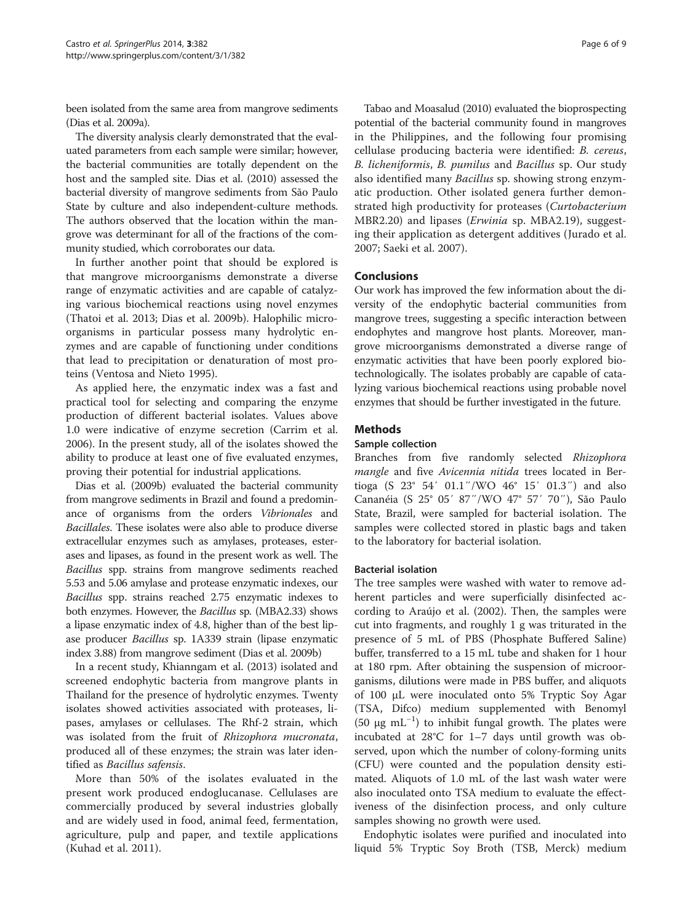been isolated from the same area from mangrove sediments (Dias et al. [2009a\)](#page-7-0).

The diversity analysis clearly demonstrated that the evaluated parameters from each sample were similar; however, the bacterial communities are totally dependent on the host and the sampled site. Dias et al. [\(2010\)](#page-7-0) assessed the bacterial diversity of mangrove sediments from São Paulo State by culture and also independent-culture methods. The authors observed that the location within the mangrove was determinant for all of the fractions of the community studied, which corroborates our data.

In further another point that should be explored is that mangrove microorganisms demonstrate a diverse range of enzymatic activities and are capable of catalyzing various biochemical reactions using novel enzymes (Thatoi et al. [2013](#page-8-0); Dias et al. [2009b\)](#page-7-0). Halophilic microorganisms in particular possess many hydrolytic enzymes and are capable of functioning under conditions that lead to precipitation or denaturation of most proteins (Ventosa and Nieto [1995\)](#page-8-0).

As applied here, the enzymatic index was a fast and practical tool for selecting and comparing the enzyme production of different bacterial isolates. Values above 1.0 were indicative of enzyme secretion (Carrim et al. [2006](#page-7-0)). In the present study, all of the isolates showed the ability to produce at least one of five evaluated enzymes, proving their potential for industrial applications.

Dias et al. ([2009b\)](#page-7-0) evaluated the bacterial community from mangrove sediments in Brazil and found a predominance of organisms from the orders Vibrionales and Bacillales. These isolates were also able to produce diverse extracellular enzymes such as amylases, proteases, esterases and lipases, as found in the present work as well. The Bacillus spp. strains from mangrove sediments reached 5.53 and 5.06 amylase and protease enzymatic indexes, our Bacillus spp. strains reached 2.75 enzymatic indexes to both enzymes. However, the Bacillus sp. (MBA2.33) shows a lipase enzymatic index of 4.8, higher than of the best lipase producer Bacillus sp. 1A339 strain (lipase enzymatic index 3.88) from mangrove sediment (Dias et al. [2009b](#page-7-0))

In a recent study, Khianngam et al. [\(2013](#page-7-0)) isolated and screened endophytic bacteria from mangrove plants in Thailand for the presence of hydrolytic enzymes. Twenty isolates showed activities associated with proteases, lipases, amylases or cellulases. The Rhf-2 strain, which was isolated from the fruit of Rhizophora mucronata, produced all of these enzymes; the strain was later identified as Bacillus safensis.

More than 50% of the isolates evaluated in the present work produced endoglucanase. Cellulases are commercially produced by several industries globally and are widely used in food, animal feed, fermentation, agriculture, pulp and paper, and textile applications (Kuhad et al. [2011](#page-7-0)).

Tabao and Moasalud ([2010\)](#page-8-0) evaluated the bioprospecting potential of the bacterial community found in mangroves in the Philippines, and the following four promising cellulase producing bacteria were identified: B. cereus, B. licheniformis, B. pumilus and Bacillus sp. Our study also identified many Bacillus sp. showing strong enzymatic production. Other isolated genera further demonstrated high productivity for proteases (Curtobacterium MBR2.20) and lipases (*Erwinia* sp. MBA2.19), suggesting their application as detergent additives (Jurado et al. [2007;](#page-7-0) Saeki et al. [2007](#page-8-0)).

# Conclusions

Our work has improved the few information about the diversity of the endophytic bacterial communities from mangrove trees, suggesting a specific interaction between endophytes and mangrove host plants. Moreover, mangrove microorganisms demonstrated a diverse range of enzymatic activities that have been poorly explored biotechnologically. The isolates probably are capable of catalyzing various biochemical reactions using probable novel enzymes that should be further investigated in the future.

# **Methods**

# Sample collection

Branches from five randomly selected Rhizophora mangle and five Avicennia nitida trees located in Bertioga (S 23° 54′ 01.1″/WO 46° 15′ 01.3″) and also Cananéia (S 25° 05′ 87″/WO 47° 57′ 70″), São Paulo State, Brazil, were sampled for bacterial isolation. The samples were collected stored in plastic bags and taken to the laboratory for bacterial isolation.

#### Bacterial isolation

The tree samples were washed with water to remove adherent particles and were superficially disinfected according to [Araújo et al. \(2002\)](#page-7-0). Then, the samples were cut into fragments, and roughly 1 g was triturated in the presence of 5 mL of PBS (Phosphate Buffered Saline) buffer, transferred to a 15 mL tube and shaken for 1 hour at 180 rpm. After obtaining the suspension of microorganisms, dilutions were made in PBS buffer, and aliquots of 100 μL were inoculated onto 5% Tryptic Soy Agar (TSA, Difco) medium supplemented with Benomyl (50 μg mL−<sup>1</sup> ) to inhibit fungal growth. The plates were incubated at 28°C for 1–7 days until growth was observed, upon which the number of colony-forming units (CFU) were counted and the population density estimated. Aliquots of 1.0 mL of the last wash water were also inoculated onto TSA medium to evaluate the effectiveness of the disinfection process, and only culture samples showing no growth were used.

Endophytic isolates were purified and inoculated into liquid 5% Tryptic Soy Broth (TSB, Merck) medium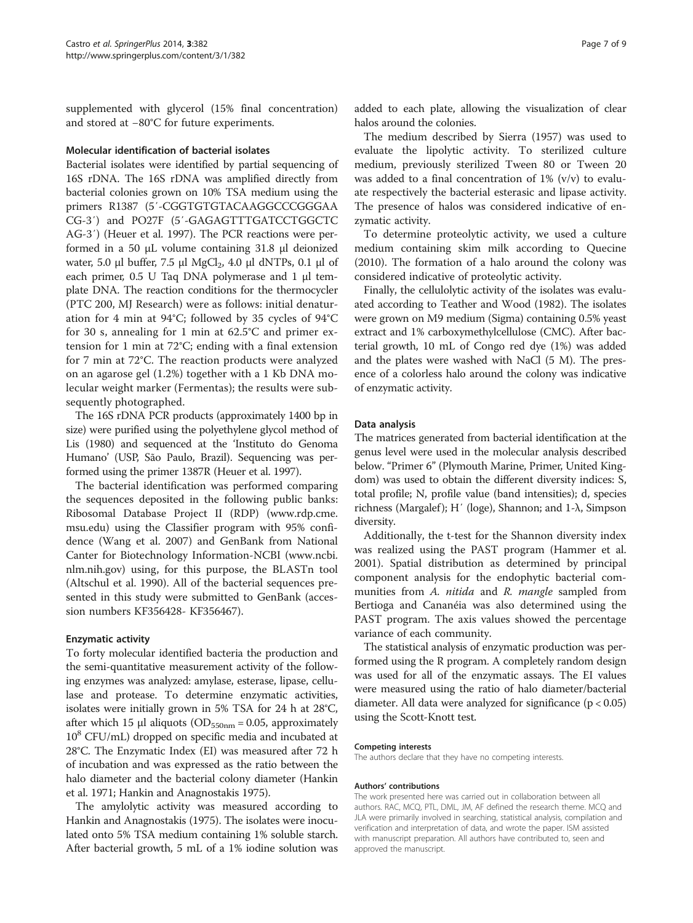supplemented with glycerol (15% final concentration) and stored at −80°C for future experiments.

# Molecular identification of bacterial isolates

Bacterial isolates were identified by partial sequencing of 16S rDNA. The 16S rDNA was amplified directly from bacterial colonies grown on 10% TSA medium using the primers R1387 (5′-CGGTGTGTACAAGGCCCGGGAA CG-3′) and PO27F (5′-GAGAGTTTGATCCTGGCTC AG-3′) (Heuer et al. [1997\)](#page-7-0). The PCR reactions were performed in a 50 μL volume containing 31.8 μl deionized water, 5.0 μl buffer, 7.5 μl MgCl<sub>2</sub>, 4.0 μl dNTPs, 0.1 μl of each primer, 0.5 U Taq DNA polymerase and 1 μl template DNA. The reaction conditions for the thermocycler (PTC 200, MJ Research) were as follows: initial denaturation for 4 min at 94°C; followed by 35 cycles of 94°C for 30 s, annealing for 1 min at 62.5°C and primer extension for 1 min at 72°C; ending with a final extension for 7 min at 72°C. The reaction products were analyzed on an agarose gel (1.2%) together with a 1 Kb DNA molecular weight marker (Fermentas); the results were subsequently photographed.

The 16S rDNA PCR products (approximately 1400 bp in size) were purified using the polyethylene glycol method of Lis [\(1980](#page-7-0)) and sequenced at the 'Instituto do Genoma Humano' (USP, São Paulo, Brazil). Sequencing was performed using the primer 1387R (Heuer et al. [1997](#page-7-0)).

The bacterial identification was performed comparing the sequences deposited in the following public banks: Ribosomal Database Project II (RDP) [\(www.rdp.cme.](http://www.rdp.cme.msu.edu) [msu.edu\)](http://www.rdp.cme.msu.edu) using the Classifier program with 95% confidence (Wang et al. [2007](#page-8-0)) and GenBank from National Canter for Biotechnology Information-NCBI [\(www.ncbi.](http://www.ncbi.nlm.nih.gov) [nlm.nih.gov\)](http://www.ncbi.nlm.nih.gov) using, for this purpose, the BLASTn tool (Altschul et al. [1990](#page-7-0)). All of the bacterial sequences presented in this study were submitted to GenBank (accession numbers KF356428- KF356467).

### Enzymatic activity

To forty molecular identified bacteria the production and the semi-quantitative measurement activity of the following enzymes was analyzed: amylase, esterase, lipase, cellulase and protease. To determine enzymatic activities, isolates were initially grown in 5% TSA for 24 h at 28°C, after which 15 μl aliquots ( $OD_{550nm} = 0.05$ , approximately 108 CFU/mL) dropped on specific media and incubated at 28°C. The Enzymatic Index (EI) was measured after 72 h of incubation and was expressed as the ratio between the halo diameter and the bacterial colony diameter (Hankin et al. [1971](#page-7-0); Hankin and Anagnostakis [1975](#page-7-0)).

The amylolytic activity was measured according to Hankin and Anagnostakis ([1975\)](#page-7-0). The isolates were inoculated onto 5% TSA medium containing 1% soluble starch. After bacterial growth, 5 mL of a 1% iodine solution was

added to each plate, allowing the visualization of clear halos around the colonies.

The medium described by Sierra [\(1957\)](#page-8-0) was used to evaluate the lipolytic activity. To sterilized culture medium, previously sterilized Tween 80 or Tween 20 was added to a final concentration of  $1\%$  (v/v) to evaluate respectively the bacterial esterasic and lipase activity. The presence of halos was considered indicative of enzymatic activity.

To determine proteolytic activity, we used a culture medium containing skim milk according to Quecine ([2010\)](#page-7-0). The formation of a halo around the colony was considered indicative of proteolytic activity.

Finally, the cellulolytic activity of the isolates was evaluated according to Teather and Wood ([1982\)](#page-8-0). The isolates were grown on M9 medium (Sigma) containing 0.5% yeast extract and 1% carboxymethylcellulose (CMC). After bacterial growth, 10 mL of Congo red dye (1%) was added and the plates were washed with NaCl (5 M). The presence of a colorless halo around the colony was indicative of enzymatic activity.

# Data analysis

The matrices generated from bacterial identification at the genus level were used in the molecular analysis described below. "Primer 6" (Plymouth Marine, Primer, United Kingdom) was used to obtain the different diversity indices: S, total profile; N, profile value (band intensities); d, species richness (Margalef); H' (loge), Shannon; and 1-λ, Simpson diversity.

Additionally, the t-test for the Shannon diversity index was realized using the PAST program (Hammer et al. [2001](#page-7-0)). Spatial distribution as determined by principal component analysis for the endophytic bacterial communities from A. nitida and R. mangle sampled from Bertioga and Cananéia was also determined using the PAST program. The axis values showed the percentage variance of each community.

The statistical analysis of enzymatic production was performed using the R program. A completely random design was used for all of the enzymatic assays. The EI values were measured using the ratio of halo diameter/bacterial diameter. All data were analyzed for significance  $(p < 0.05)$ using the Scott-Knott test.

#### Competing interests

The authors declare that they have no competing interests.

#### Authors' contributions

The work presented here was carried out in collaboration between all authors. RAC, MCQ, PTL, DML, JM, AF defined the research theme. MCQ and JLA were primarily involved in searching, statistical analysis, compilation and verification and interpretation of data, and wrote the paper. ISM assisted with manuscript preparation. All authors have contributed to, seen and approved the manuscript.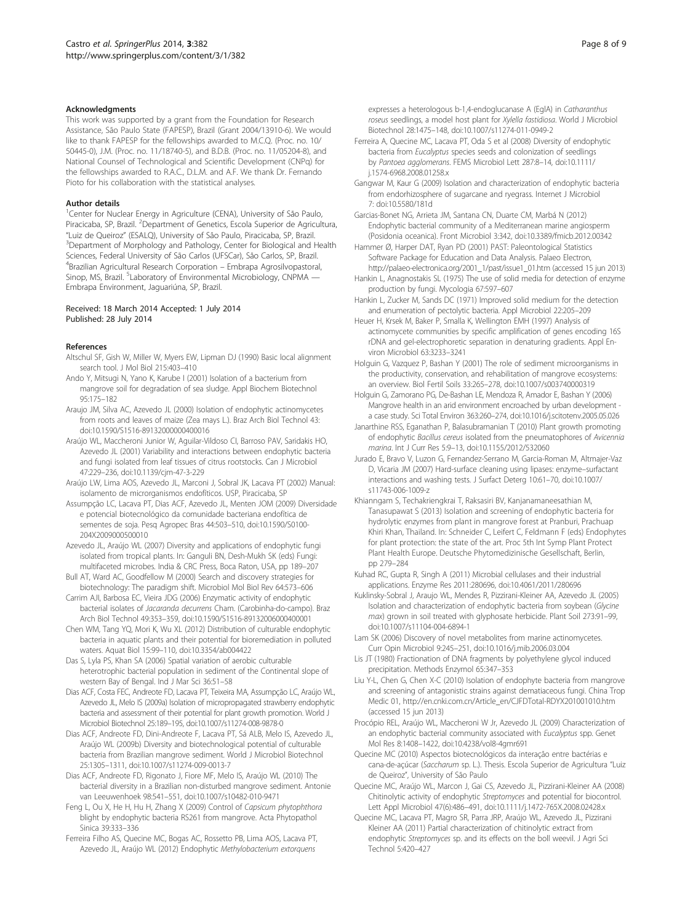#### <span id="page-7-0"></span>Acknowledgments

This work was supported by a grant from the Foundation for Research Assistance, São Paulo State (FAPESP), Brazil (Grant 2004/13910-6). We would like to thank FAPESP for the fellowships awarded to M.C.Q. (Proc. no. 10/ 50445-0), J.M. (Proc. no. 11/18740-5), and B.D.B. (Proc. no. 11/05204-8), and National Counsel of Technological and Scientific Development (CNPq) for the fellowships awarded to R.A.C., D.L.M. and A.F. We thank Dr. Fernando Pioto for his collaboration with the statistical analyses.

#### Author details

<sup>1</sup>Center for Nuclear Energy in Agriculture (CENA), University of São Paulo, Piracicaba, SP, Brazil. <sup>2</sup>Department of Genetics, Escola Superior de Agricultura, "Luiz de Queiroz" (ESALQ), University of São Paulo, Piracicaba, SP, Brazil. <sup>3</sup> <sup>3</sup>Department of Morphology and Pathology, Center for Biological and Health Sciences, Federal University of São Carlos (UFSCar), São Carlos, SP, Brazil. 4 Brazilian Agricultural Research Corporation – Embrapa Agrosilvopastoral, Sinop, MS, Brazil. <sup>5</sup>Laboratory of Environmental Microbiology, CNPMA — Embrapa Environment, Jaguariúna, SP, Brazil.

#### Received: 18 March 2014 Accepted: 1 July 2014 Published: 28 July 2014

#### References

- Altschul SF, Gish W, Miller W, Myers EW, Lipman DJ (1990) Basic local alignment search tool. J Mol Biol 215:403–410
- Ando Y, Mitsugi N, Yano K, Karube I (2001) Isolation of a bacterium from mangrove soil for degradation of sea sludge. Appl Biochem Biotechnol 95:175–182
- Araujo JM, Silva AC, Azevedo JL (2000) Isolation of endophytic actinomycetes from roots and leaves of maize (Zea mays L.). Braz Arch Biol Technol 43: doi:10.1590/S1516-89132000000400016
- Araújo WL, Maccheroni Junior W, Aguilar-Vildoso CI, Barroso PAV, Saridakis HO, Azevedo JL (2001) Variability and interactions between endophytic bacteria and fungi isolated from leaf tissues of citrus rootstocks. Can J Microbiol 47:229–236, doi:10.1139/cjm-47-3-229
- Araújo LW, Lima AOS, Azevedo JL, Marconi J, Sobral JK, Lacava PT (2002) Manual: isolamento de microrganismos endofíticos. USP, Piracicaba, SP
- Assumpção LC, Lacava PT, Dias ACF, Azevedo JL, Menten JOM (2009) Diversidade e potencial biotecnológico da comunidade bacteriana endofítica de sementes de soja. Pesq Agropec Bras 44:503–510, doi:10.1590/S0100- 204X2009000500010
- Azevedo JL, Araújo WL (2007) Diversity and applications of endophytic fungi isolated from tropical plants. In: Ganguli BN, Desh-Mukh SK (eds) Fungi: multifaceted microbes. India & CRC Press, Boca Raton, USA, pp 189–207
- Bull AT, Ward AC, Goodfellow M (2000) Search and discovery strategies for biotechnology: The paradigm shift. Microbiol Mol Biol Rev 64:573–606
- Carrim AJI, Barbosa EC, Vieira JDG (2006) Enzymatic activity of endophytic bacterial isolates of Jacaranda decurrens Cham. (Carobinha-do-campo). Braz Arch Biol Technol 49:353–359, doi:10.1590/S1516-89132006000400001
- Chen WM, Tang YQ, Mori K, Wu XL (2012) Distribution of culturable endophytic bacteria in aquatic plants and their potential for bioremediation in polluted waters. Aquat Biol 15:99–110, doi:10.3354/ab004422
- Das S, Lyla PS, Khan SA (2006) Spatial variation of aerobic culturable heterotrophic bacterial population in sediment of the Continental slope of western Bay of Bengal. Ind J Mar Sci 36:51–58
- Dias ACF, Costa FEC, Andreote FD, Lacava PT, Teixeira MA, Assumpção LC, Araújo WL, Azevedo JL, Melo IS (2009a) Isolation of micropropagated strawberry endophytic bacteria and assessment of their potential for plant growth promotion. World J Microbiol Biotechnol 25:189–195, doi:10.1007/s11274-008-9878-0
- Dias ACF, Andreote FD, Dini-Andreote F, Lacava PT, Sá ALB, Melo IS, Azevedo JL, Araújo WL (2009b) Diversity and biotechnological potential of culturable bacteria from Brazilian mangrove sediment. World J Microbiol Biotechnol 25:1305–1311, doi:10.1007/s11274-009-0013-7
- Dias ACF, Andreote FD, Rigonato J, Fiore MF, Melo IS, Araújo WL (2010) The bacterial diversity in a Brazilian non-disturbed mangrove sediment. Antonie van Leeuwenhoek 98:541–551, doi:10.1007/s10482-010-9471
- Feng L, Ou X, He H, Hu H, Zhang X (2009) Control of Capsicum phytophthora blight by endophytic bacteria RS261 from mangrove. Acta Phytopathol Sinica 39:333–336
- Ferreira Filho AS, Quecine MC, Bogas AC, Rossetto PB, Lima AOS, Lacava PT, Azevedo JL, Araújo WL (2012) Endophytic Methylobacterium extorquens

expresses a heterologous b-1,4-endoglucanase A (EglA) in Catharanthus roseus seedlings, a model host plant for Xylella fastidiosa. World J Microbiol Biotechnol 28:1475–148, doi:10.1007/s11274-011-0949-2

- Ferreira A, Quecine MC, Lacava PT, Oda S et al (2008) Diversity of endophytic bacteria from Eucalyptus species seeds and colonization of seedlings by Pantoea agglomerans. FEMS Microbiol Lett 287:8–14, doi:10.1111/ j.1574-6968.2008.01258.x
- Gangwar M, Kaur G (2009) Isolation and characterization of endophytic bacteria from endorhizosphere of sugarcane and ryegrass. Internet J Microbiol 7: doi:10.5580/181d
- Garcias-Bonet NG, Arrieta JM, Santana CN, Duarte CM, Marbá N (2012) Endophytic bacterial community of a Mediterranean marine angiosperm (Posidonia oceanica). Front Microbiol 3:342, doi:10.3389/fmicb.2012.00342
- Hammer Ø, Harper DAT, Ryan PD (2001) PAST: Paleontological Statistics Software Package for Education and Data Analysis. Palaeo Electron, [http://palaeo-electronica.org/2001\\_1/past/issue1\\_01.htm](http://palaeo-electronica.org/2001_1/past/issue1_01.htm) (accessed 15 jun 2013)
- Hankin L, Anagnostakis SL (1975) The use of solid media for detection of enzyme production by fungi. Mycologia 67:597–607
- Hankin L, Zucker M, Sands DC (1971) Improved solid medium for the detection and enumeration of pectolytic bacteria. Appl Microbiol 22:205–209
- Heuer H, Krsek M, Baker P, Smalla K, Wellington EMH (1997) Analysis of actinomycete communities by specific amplification of genes encoding 16S rDNA and gel-electrophoretic separation in denaturing gradients. Appl Environ Microbiol 63:3233–3241
- Holguin G, Vazquez P, Bashan Y (2001) The role of sediment microorganisms in the productivity, conservation, and rehabilitation of mangrove ecosystems: an overview. Biol Fertil Soils 33:265–278, doi:10.1007/s003740000319
- Holguin G, Zamorano PG, De-Bashan LE, Mendoza R, Amador E, Bashan Y (2006) Mangrove health in an arid environment encroached by urban development a case study. Sci Total Environ 363:260–274, doi:10.1016/j.scitotenv.2005.05.026
- Janarthine RSS, Eganathan P, Balasubramanian T (2010) Plant growth promoting of endophytic Bacillus cereus isolated from the pneumatophores of Avicennia marina. Int J Curr Res 5:9–13, doi:10.1155/2012/532060
- Jurado E, Bravo V, Luzon G, Fernandez-Serrano M, Garcia-Roman M, Altmajer-Vaz D, Vicaria JM (2007) Hard-surface cleaning using lipases: enzyme–surfactant interactions and washing tests. J Surfact Deterg 10:61–70, doi:10.1007/ s11743-006-1009-z
- Khianngam S, Techakriengkrai T, Raksasiri BV, Kanjanamaneesathian M, Tanasupawat S (2013) Isolation and screening of endophytic bacteria for hydrolytic enzymes from plant in mangrove forest at Pranburi, Prachuap Khiri Khan, Thailand. In: Schneider C, Leifert C, Feldmann F (eds) Endophytes for plant protection: the state of the art. Proc 5th Int Symp Plant Protect Plant Health Europe. Deutsche Phytomedizinische Gesellschaft, Berlin, pp 279–284
- Kuhad RC, Gupta R, Singh A (2011) Microbial cellulases and their industrial applications. Enzyme Res 2011:280696, doi:10.4061/2011/280696
- Kuklinsky-Sobral J, Araujo WL, Mendes R, Pizzirani-Kleiner AA, Azevedo JL (2005) Isolation and characterization of endophytic bacteria from soybean (Glycine max) grown in soil treated with glyphosate herbicide. Plant Soil 273:91–99, doi:10.1007/s11104-004-6894-1
- Lam SK (2006) Discovery of novel metabolites from marine actinomycetes. Curr Opin Microbiol 9:245–251, doi:10.1016/j.mib.2006.03.004
- Lis JT (1980) Fractionation of DNA fragments by polyethylene glycol induced precipitation. Methods Enzymol 65:347–353
- Liu Y-L, Chen G, Chen X-C (2010) Isolation of endophyte bacteria from mangrove and screening of antagonistic strains against dematiaceous fungi. China Trop Medic 01, [http://en.cnki.com.cn/Article\\_en/CJFDTotal-RDYX201001010.htm](http://en.cnki.com.cn/Article_en/CJFDTotal-RDYX201001010.htm) (accessed 15 jun 2013)
- Procópio REL, Araújo WL, Maccheroni W Jr, Azevedo JL (2009) Characterization of an endophytic bacterial community associated with Eucalyptus spp. Genet Mol Res 8:1408–1422, doi:10.4238/vol8-4gmr691
- Quecine MC (2010) Aspectos biotecnológicos da interação entre bactérias e cana-de-açúcar (Saccharum sp. L.). Thesis. Escola Superior de Agricultura "Luiz de Queiroz", University of São Paulo
- Quecine MC, Araújo WL, Marcon J, Gai CS, Azevedo JL, Pizzirani-Kleiner AA (2008) Chitinolytic activity of endophytic Streptomyces and potential for biocontrol. Lett Appl Microbiol 47(6):486–491, doi:10.1111/j.1472-765X.2008.02428.x
- Quecine MC, Lacava PT, Magro SR, Parra JRP, Araújo WL, Azevedo JL, Pizzirani Kleiner AA (2011) Partial characterization of chitinolytic extract from endophytic Streptomyces sp. and its effects on the boll weevil. J Agri Sci Technol 5:420–427